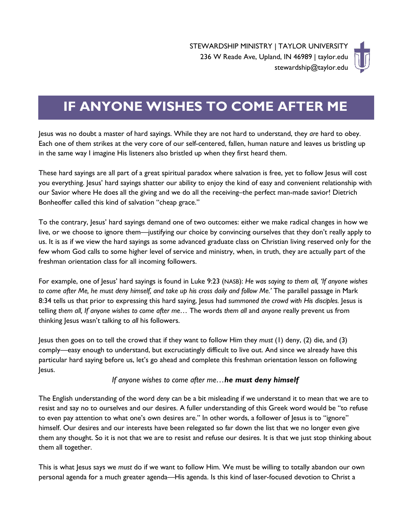

# **IF ANYONE WISHES TO COME AFTER ME**

Jesus was no doubt a master of hard sayings. While they are not hard to understand, they *are* hard to obey. Each one of them strikes at the very core of our self-centered, fallen, human nature and leaves us bristling up in the same way I imagine His listeners also bristled up when they first heard them.

These hard sayings are all part of a great spiritual paradox where salvation is free, yet to follow Jesus will cost you everything. Jesus' hard sayings shatter our ability to enjoy the kind of easy and convenient relationship with our Savior where He does all the giving and we do all the receiving–the perfect man-made savior! Dietrich Bonheoffer called this kind of salvation "cheap grace."

To the contrary, Jesus' hard sayings demand one of two outcomes: either we make radical changes in how we live, or we choose to ignore them—justifying our choice by convincing ourselves that they don't really apply to us. It is as if we view the hard sayings as some advanced graduate class on Christian living reserved only for the few whom God calls to some higher level of service and ministry, when, in truth, they are actually part of the freshman orientation class for all incoming followers.

For example, one of Jesus' hard sayings is found in Luke 9:23 (NASB): *He was saying to them all, 'If anyone wishes to come after Me, he must deny himself, and take up his cross daily and follow Me.'* The parallel passage in Mark 8:34 tells us that prior to expressing this hard saying, Jesus had *summoned the crowd with His disciples.* Jesus is telling *them all, If anyone wishes to come after me…* The words *them all* and *anyone* really prevent us from thinking Jesus wasn't talking to *all* his followers.

Jesus then goes on to tell the crowd that if they want to follow Him they *must* (1) deny, (2) die, and (3) comply—easy enough to understand, but excruciatingly difficult to live out. And since we already have this particular hard saying before us, let's go ahead and complete this freshman orientation lesson on following Jesus.

#### *If anyone wishes to come after me…he must deny himself*

The English understanding of the word *deny* can be a bit misleading if we understand it to mean that we are to resist and say no to ourselves and our desires. A fuller understanding of this Greek word would be "to refuse to even pay attention to what one's own desires are." In other words, a follower of Jesus is to "ignore" himself. Our desires and our interests have been relegated so far down the list that we no longer even give them any thought. So it is not that we are to resist and refuse our desires. It is that we just stop thinking about them all together.

This is what Jesus says we *must* do if we want to follow Him. We must be willing to totally abandon our own personal agenda for a much greater agenda—His agenda. Is this kind of laser-focused devotion to Christ a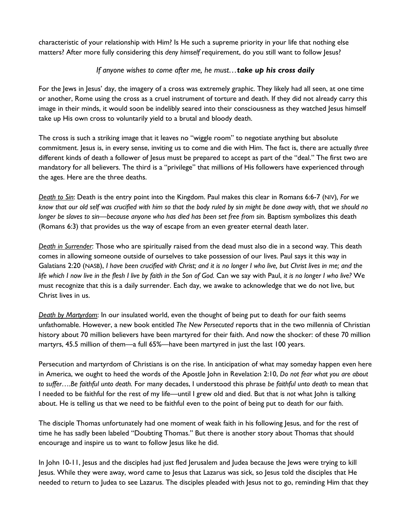characteristic of your relationship with Him? Is He such a supreme priority in your life that nothing else matters? After more fully considering this *deny himself* requirement, do you still want to follow Jesus?

### *If anyone wishes to come after me, he must…take up his cross daily*

For the Jews in Jesus' day, the imagery of a cross was extremely graphic. They likely had all seen, at one time or another, Rome using the cross as a cruel instrument of torture and death. If they did not already carry this image in their minds, it would soon be indelibly seared into their consciousness as they watched Jesus himself take up His own cross to voluntarily yield to a brutal and bloody death.

The cross is such a striking image that it leaves no "wiggle room" to negotiate anything but absolute commitment. Jesus is, in every sense, inviting us to come and die with Him. The fact is, there are actually *three* different kinds of death a follower of Jesus must be prepared to accept as part of the "deal." The first two are mandatory for all believers. The third is a "privilege" that millions of His followers have experienced through the ages. Here are the three deaths.

*Death to Sin*: Death is the entry point into the Kingdom. Paul makes this clear in Romans 6:6-7 (NIV)*, For we know that our old self was crucified with him so that the body ruled by sin might be done away with, that we should no longer be slaves to sin—because anyone who has died has been set free from sin.* Baptism symbolizes this death [\(Romans 6:3\)](http://www.biblegateway.com/passage/?search=romans%206:2&version=NASB) that provides us the way of escape from an even greater eternal death later.

*Death in Surrender*: Those who are spiritually raised from the dead must also die in a second way. This death comes in allowing someone outside of ourselves to take possession of our lives. Paul says it this way in Galatians 2:20 (NASB), *I have been crucified with Christ; and it is no longer I who live, but Christ lives in me; and the life which I now live in the flesh I live by faith in the Son of God.* Can we say with Paul, *it is no longer I who live?* We must recognize that this is a daily surrender. Each day, we awake to acknowledge that we do not live, but Christ lives in us.

*Death by Martyrdom*: In our insulated world, even the thought of being put to death for our faith seems unfathomable. However, a new book entitled *The New Persecuted* reports that in the two millennia of Christian history about 70 million believers have been martyred for their faith. And now the shocker: of these 70 million martyrs, 45.5 million of them—a full 65%—have been martyred in just the last 100 years.

Persecution and martyrdom of Christians is on the rise. In anticipation of what may someday happen even here in America, we ought to heed the words of the Apostle John in Revelation 2:10, *Do not fear what you are about to suffer….Be faithful unto death.* For many decades, I understood this phrase *be faithful unto death* to mean that I needed to be faithful for the rest of my life—until I grew old and died. But that is *not* what John is talking about. He is telling us that we need to be faithful even to the point of being put to death for our faith.

The disciple Thomas unfortunately had one moment of weak faith in his following Jesus, and for the rest of time he has sadly been labeled "Doubting Thomas." But there is another story about Thomas that should encourage and inspire us to want to follow Jesus like he did.

In John 10-11, Jesus and the disciples had just fled Jerusalem and Judea because the Jews were trying to kill Jesus. While they were away, word came to Jesus that Lazarus was sick, so Jesus told the disciples that He needed to return to Judea to see Lazarus. The disciples pleaded with Jesus not to go, reminding Him that they